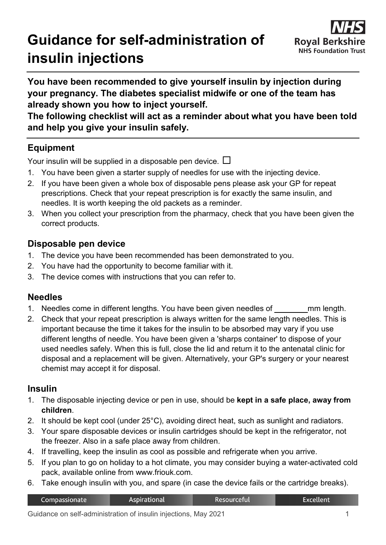# **Guidance for self-administration of insulin injections**



**You have been recommended to give yourself insulin by injection during your pregnancy. The diabetes specialist midwife or one of the team has already shown you how to inject yourself.**

**The following checklist will act as a reminder about what you have been told and help you give your insulin safely.**

# **Equipment**

Your insulin will be supplied in a disposable pen device.  $\Box$ 

- 1. You have been given a starter supply of needles for use with the injecting device.
- 2. If you have been given a whole box of disposable pens please ask your GP for repeat prescriptions. Check that your repeat prescription is for exactly the same insulin, and needles. It is worth keeping the old packets as a reminder.
- 3. When you collect your prescription from the pharmacy, check that you have been given the correct products.

## **Disposable pen device**

- 1. The device you have been recommended has been demonstrated to you.
- 2. You have had the opportunity to become familiar with it.
- 3. The device comes with instructions that you can refer to.

#### **Needles**

- 1. Needles come in different lengths. You have been given needles of <u>man length</u>.
- 2. Check that your repeat prescription is always written for the same length needles. This is important because the time it takes for the insulin to be absorbed may vary if you use different lengths of needle. You have been given a 'sharps container' to dispose of your used needles safely. When this is full, close the lid and return it to the antenatal clinic for disposal and a replacement will be given. Alternatively, your GP's surgery or your nearest chemist may accept it for disposal.

## **Insulin**

- 1. The disposable injecting device or pen in use, should be **kept in a safe place, away from children**.
- 2. It should be kept cool (under 25°C), avoiding direct heat, such as sunlight and radiators.
- 3. Your spare disposable devices or insulin cartridges should be kept in the refrigerator, not the freezer. Also in a safe place away from children.
- 4. If travelling, keep the insulin as cool as possible and refrigerate when you arrive.
- 5. If you plan to go on holiday to a hot climate, you may consider buying a water-activated cold pack, available online from www.friouk.com.
- 6. Take enough insulin with you, and spare (in case the device fails or the cartridge breaks).

| Compassionate | Aspirational | Resourceful | Excellent <sup>1</sup> |
|---------------|--------------|-------------|------------------------|
|               |              |             |                        |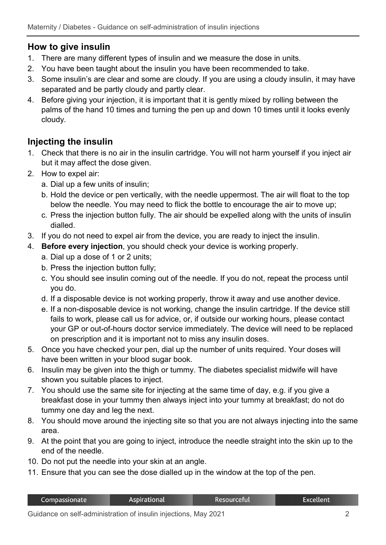## **How to give insulin**

- 1. There are many different types of insulin and we measure the dose in units.
- 2. You have been taught about the insulin you have been recommended to take.
- 3. Some insulin's are clear and some are cloudy. If you are using a cloudy insulin, it may have separated and be partly cloudy and partly clear.
- 4. Before giving your injection, it is important that it is gently mixed by rolling between the palms of the hand 10 times and turning the pen up and down 10 times until it looks evenly cloudy.

# **Injecting the insulin**

- 1. Check that there is no air in the insulin cartridge. You will not harm yourself if you inject air but it may affect the dose given.
- 2. How to expel air:
	- a. Dial up a few units of insulin;
	- b. Hold the device or pen vertically, with the needle uppermost. The air will float to the top below the needle. You may need to flick the bottle to encourage the air to move up;
	- c. Press the injection button fully. The air should be expelled along with the units of insulin dialled.
- 3. If you do not need to expel air from the device, you are ready to inject the insulin.
- 4. **Before every injection**, you should check your device is working properly.
	- a. Dial up a dose of 1 or 2 units;
	- b. Press the injection button fully;
	- c. You should see insulin coming out of the needle. If you do not, repeat the process until you do.
	- d. If a disposable device is not working properly, throw it away and use another device.
	- e. If a non-disposable device is not working, change the insulin cartridge. If the device still fails to work, please call us for advice, or, if outside our working hours, please contact your GP or out-of-hours doctor service immediately. The device will need to be replaced on prescription and it is important not to miss any insulin doses.
- 5. Once you have checked your pen, dial up the number of units required. Your doses will have been written in your blood sugar book.
- 6. Insulin may be given into the thigh or tummy. The diabetes specialist midwife will have shown you suitable places to inject.
- 7. You should use the same site for injecting at the same time of day, e.g. if you give a breakfast dose in your tummy then always inject into your tummy at breakfast; do not do tummy one day and leg the next.
- 8. You should move around the injecting site so that you are not always injecting into the same area.
- 9. At the point that you are going to inject, introduce the needle straight into the skin up to the end of the needle.
- 10. Do not put the needle into your skin at an angle.
- 11. Ensure that you can see the dose dialled up in the window at the top of the pen.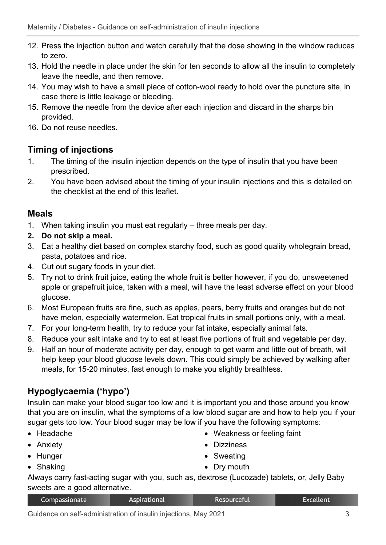- 12. Press the injection button and watch carefully that the dose showing in the window reduces to zero.
- 13. Hold the needle in place under the skin for ten seconds to allow all the insulin to completely leave the needle, and then remove.
- 14. You may wish to have a small piece of cotton-wool ready to hold over the puncture site, in case there is little leakage or bleeding.
- 15. Remove the needle from the device after each injection and discard in the sharps bin provided.
- 16. Do not reuse needles.

#### **Timing of injections**

- 1. The timing of the insulin injection depends on the type of insulin that you have been prescribed.
- 2. You have been advised about the timing of your insulin injections and this is detailed on the checklist at the end of this leaflet.

#### **Meals**

- 1. When taking insulin you must eat regularly three meals per day.
- **2. Do not skip a meal.**
- 3. Eat a healthy diet based on complex starchy food, such as good quality wholegrain bread, pasta, potatoes and rice.
- 4. Cut out sugary foods in your diet.
- 5. Try not to drink fruit juice, eating the whole fruit is better however, if you do, unsweetened apple or grapefruit juice, taken with a meal, will have the least adverse effect on your blood glucose.
- 6. Most European fruits are fine, such as apples, pears, berry fruits and oranges but do not have melon, especially watermelon. Eat tropical fruits in small portions only, with a meal.
- 7. For your long-term health, try to reduce your fat intake, especially animal fats.
- 8. Reduce your salt intake and try to eat at least five portions of fruit and vegetable per day.
- 9. Half an hour of moderate activity per day, enough to get warm and little out of breath, will help keep your blood glucose levels down. This could simply be achieved by walking after meals, for 15-20 minutes, fast enough to make you slightly breathless.

# **Hypoglycaemia ('hypo')**

Insulin can make your blood sugar too low and it is important you and those around you know that you are on insulin, what the symptoms of a low blood sugar are and how to help you if your sugar gets too low. Your blood sugar may be low if you have the following symptoms:

- Headache
- Anxiety
- Hunger
- Shaking
- Weakness or feeling faint
- Dizziness
- Sweating
- Dry mouth

Always carry fast-acting sugar with you, such as, dextrose (Lucozade) tablets, or, Jelly Baby sweets are a good alternative.

| Compassionate | Aspirational | Resourceful | Excellent |
|---------------|--------------|-------------|-----------|
|               |              |             |           |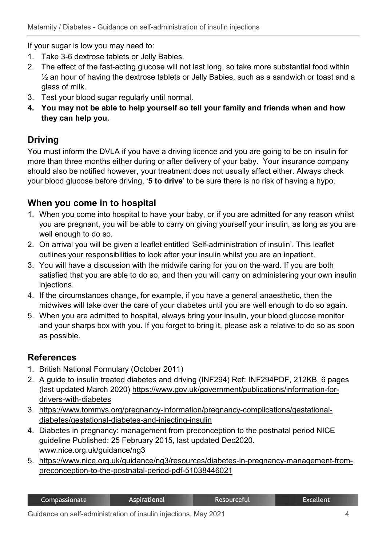If your sugar is low you may need to:

- 1. Take 3-6 dextrose tablets or Jelly Babies.
- 2. The effect of the fast-acting glucose will not last long, so take more substantial food within ½ an hour of having the dextrose tablets or Jelly Babies, such as a sandwich or toast and a glass of milk.
- 3. Test your blood sugar regularly until normal.
- **4. You may not be able to help yourself so tell your family and friends when and how they can help you.**

#### **Driving**

You must inform the DVLA if you have a driving licence and you are going to be on insulin for more than three months either during or after delivery of your baby. Your insurance company should also be notified however, your treatment does not usually affect either. Always check your blood glucose before driving, '**5 to drive**' to be sure there is no risk of having a hypo.

#### **When you come in to hospital**

- 1. When you come into hospital to have your baby, or if you are admitted for any reason whilst you are pregnant, you will be able to carry on giving yourself your insulin, as long as you are well enough to do so.
- 2. On arrival you will be given a leaflet entitled 'Self-administration of insulin'. This leaflet outlines your responsibilities to look after your insulin whilst you are an inpatient.
- 3. You will have a discussion with the midwife caring for you on the ward. If you are both satisfied that you are able to do so, and then you will carry on administering your own insulin injections.
- 4. If the circumstances change, for example, if you have a general anaesthetic, then the midwives will take over the care of your diabetes until you are well enough to do so again.
- 5. When you are admitted to hospital, always bring your insulin, your blood glucose monitor and your sharps box with you. If you forget to bring it, please ask a relative to do so as soon as possible.

#### **References**

- 1. British National Formulary (October 2011)
- 2. A guide to insulin treated diabetes and driving (INF294) Ref: INF294PDF, 212KB, 6 pages (last updated March 2020) [https://www.gov.uk/government/publications/information-for](https://www.gov.uk/government/publications/information-for-drivers-with-diabetes)[drivers-with-diabetes](https://www.gov.uk/government/publications/information-for-drivers-with-diabetes)
- 3. [https://www.tommys.org/pregnancy-information/pregnancy-complications/gestational](https://www.tommys.org/pregnancy-information/pregnancy-complications/gestational-diabetes/gestational-diabetes-and-injecting-insulin)[diabetes/gestational-diabetes-and-injecting-insulin](https://www.tommys.org/pregnancy-information/pregnancy-complications/gestational-diabetes/gestational-diabetes-and-injecting-insulin)
- 4. Diabetes in pregnancy: management from preconception to the postnatal period NICE guideline Published: 25 February 2015, last updated Dec2020. [www.nice.org.uk/guidance/ng3](http://www.nice.org.uk/guidance/ng3)
- 5. [https://www.nice.org.uk/guidance/ng3/resources/diabetes-in-pregnancy-management-from](https://www.nice.org.uk/guidance/ng3/resources/diabetes-in-pregnancy-management-from-preconception-to-the-postnatal-period-pdf-51038446021)[preconception-to-the-postnatal-period-pdf-51038446021](https://www.nice.org.uk/guidance/ng3/resources/diabetes-in-pregnancy-management-from-preconception-to-the-postnatal-period-pdf-51038446021)

| <b>Resourceful</b><br><b>Excellent</b><br>Aspirational<br>Compassionate |
|-------------------------------------------------------------------------|
|-------------------------------------------------------------------------|